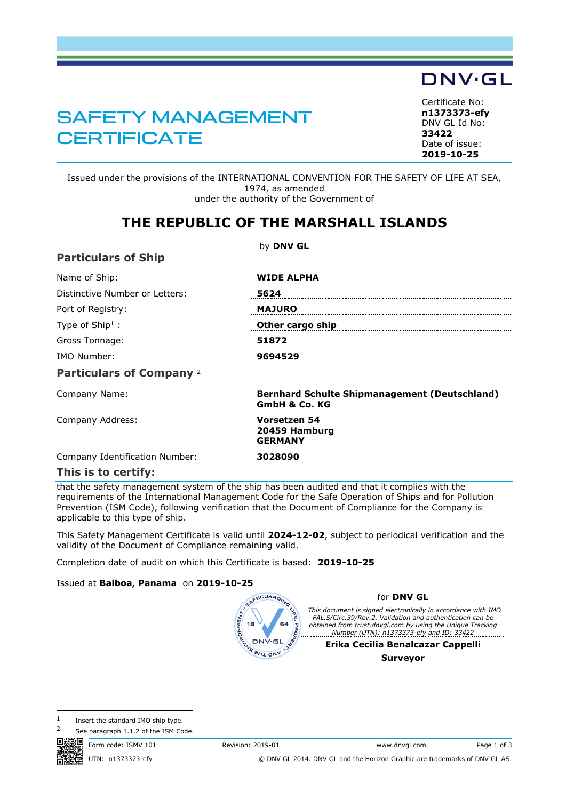## SAFETY MANAGEMENT **CERTIFICATE**

<span id="page-0-1"></span>Certificate No: **n1373373-efy** DNV GL Id No: **33422** Date of issue:

**DNV·GL** 

Issued under the provisions of the INTERNATIONAL CONVENTION FOR THE SAFETY OF LIFE AT SEA, 1974, as amended under the authority of the Government of

## **THE REPUBLIC OF THE MARSHALL ISLANDS**

| <b>Particulars of Ship</b>      | by DNV GL                                                                        |
|---------------------------------|----------------------------------------------------------------------------------|
| Name of Ship:                   | <b>WIDE ALPHA</b>                                                                |
| Distinctive Number or Letters:  | 5624                                                                             |
| Port of Registry:               | <b>MAJURO</b>                                                                    |
| Type of $Ship1$ :               | Other cargo ship                                                                 |
| Gross Tonnage:                  | 51872                                                                            |
| IMO Number:                     | 9694529                                                                          |
| <b>Particulars of Company 2</b> |                                                                                  |
| Company Name:                   | <b>Bernhard Schulte Shipmanagement (Deutschland)</b><br><b>GmbH &amp; Co. KG</b> |
| Company Address:                | Vorsetzen 54<br>20459 Hamburg<br><b>GERMANY</b>                                  |
| Company Identification Number:  | 3028090                                                                          |
| This is to certify:             |                                                                                  |

that the safety management system of the ship has been audited and that it complies with the requirements of the International Management Code for the Safe Operation of Ships and for Pollution Prevention (ISM Code), following verification that the Document of Compliance for the Company is applicable to this type of ship.

This Safety Management Certificate is valid until **2024-12-02**, subject to periodical verification and the validity of the Document of Compliance remaining valid.

Completion date of audit on which this Certificate is based: **2019-10-25**

## Issued at **Balboa, Panama** on **2019-10-25**

<span id="page-0-0"></span>

## for **DNV GL**

*This document is signed electronically in accordance with IMO FAL.5/Circ.39/Rev.2. Validation and authentication can be obtained from trust.dnvgl.com by using the Unique Tracking Number (UTN): n1373373-efy and ID: 33422*

**Erika Cecilia Benalcazar Cappelli Surveyor**

 $1$  Insert the standard IMO ship type.

See paragraph 1.1.2 of the ISM Code.



Form code: ISMV 101 Revision: 2019-01 www.dnvgl.com Page 1 of 3 UTN: n1373373-efy © DNV GL 2014. DNV GL and the Horizon Graphic are trademarks of DNV GL AS.



**[2019-10-25](#page-0-0)**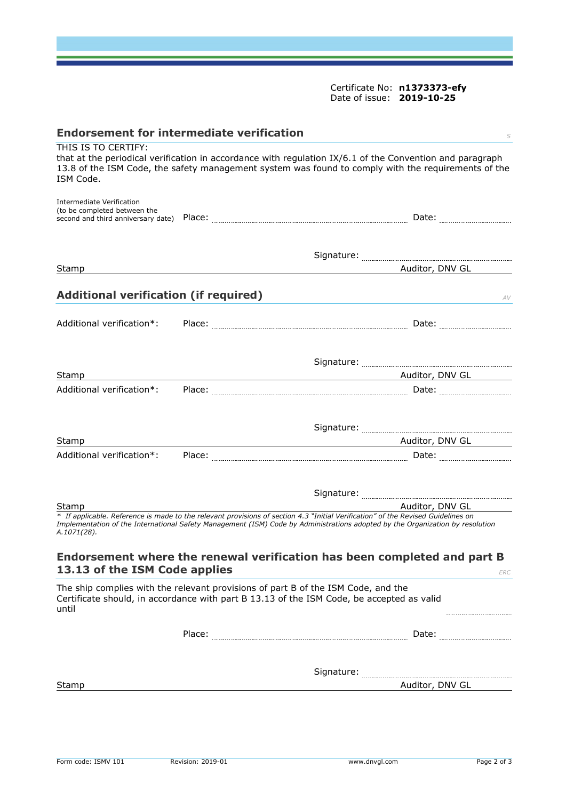Certificate No: **[n1373373-efy](#page-0-1)** Date of issue: **[2019-10-25](#page-0-0)**

| <b>Endorsement for intermediate verification</b>          |                                                                                                                                                                                                                                                                   |
|-----------------------------------------------------------|-------------------------------------------------------------------------------------------------------------------------------------------------------------------------------------------------------------------------------------------------------------------|
| THIS IS TO CERTIFY:<br>ISM Code.                          | that at the periodical verification in accordance with regulation IX/6.1 of the Convention and paragraph<br>13.8 of the ISM Code, the safety management system was found to comply with the requirements of the                                                   |
| Intermediate Verification<br>(to be completed between the | Date: the contract of the contract of the contract of the contract of the contract of the contract of the contract of the contract of the contract of the contract of the contract of the contract of the contract of the cont                                    |
| Stamp                                                     | Auditor, DNV GL                                                                                                                                                                                                                                                   |
| <b>Additional verification (if required)</b>              | AV                                                                                                                                                                                                                                                                |
|                                                           |                                                                                                                                                                                                                                                                   |
|                                                           |                                                                                                                                                                                                                                                                   |
| Stamp<br>Additional verification*:                        | Auditor, DNV GL Andrew Auditor, DNV GL                                                                                                                                                                                                                            |
| Stamp<br>Additional verification*:                        | Auditor, DNV GL                                                                                                                                                                                                                                                   |
| Stamp                                                     | Auditor, DNV GL                                                                                                                                                                                                                                                   |
| A.1071(28).                                               | * If applicable. Reference is made to the relevant provisions of section 4.3 "Initial Verification" of the Revised Guidelines on<br>Implementation of the International Safety Management (ISM) Code by Administrations adopted by the Organization by resolution |
| 13.13 of the ISM Code applies                             | Endorsement where the renewal verification has been completed and part B<br>ERC                                                                                                                                                                                   |
| until                                                     | The ship complies with the relevant provisions of part B of the ISM Code, and the<br>Certificate should, in accordance with part B 13.13 of the ISM Code, be accepted as valid                                                                                    |
|                                                           |                                                                                                                                                                                                                                                                   |
|                                                           |                                                                                                                                                                                                                                                                   |
| Stamp                                                     |                                                                                                                                                                                                                                                                   |